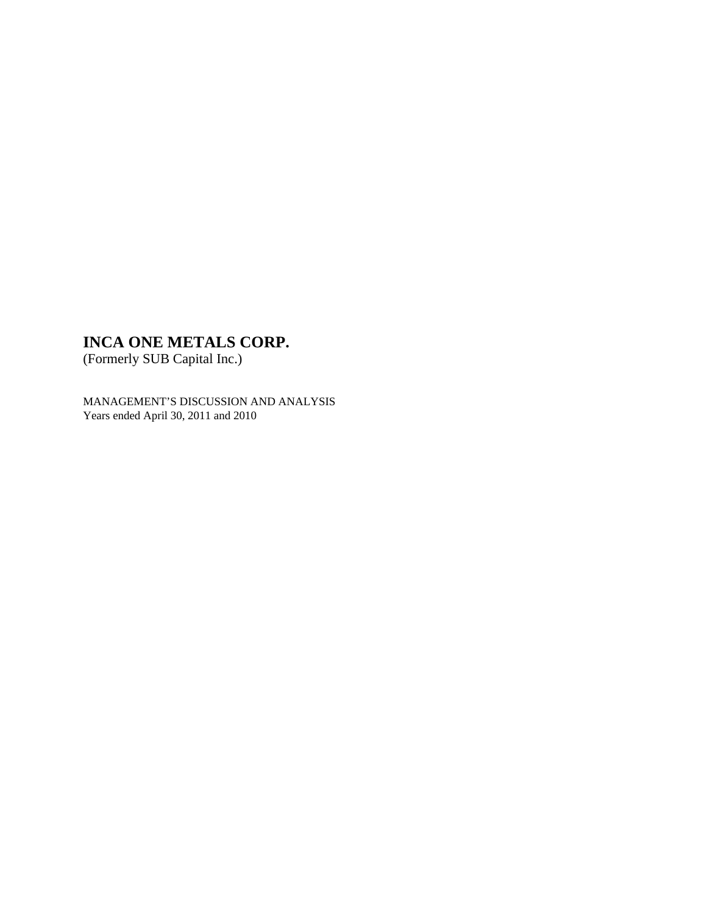(Formerly SUB Capital Inc.)

MANAGEMENT'S DISCUSSION AND ANALYSIS Years ended April 30, 2011 and 2010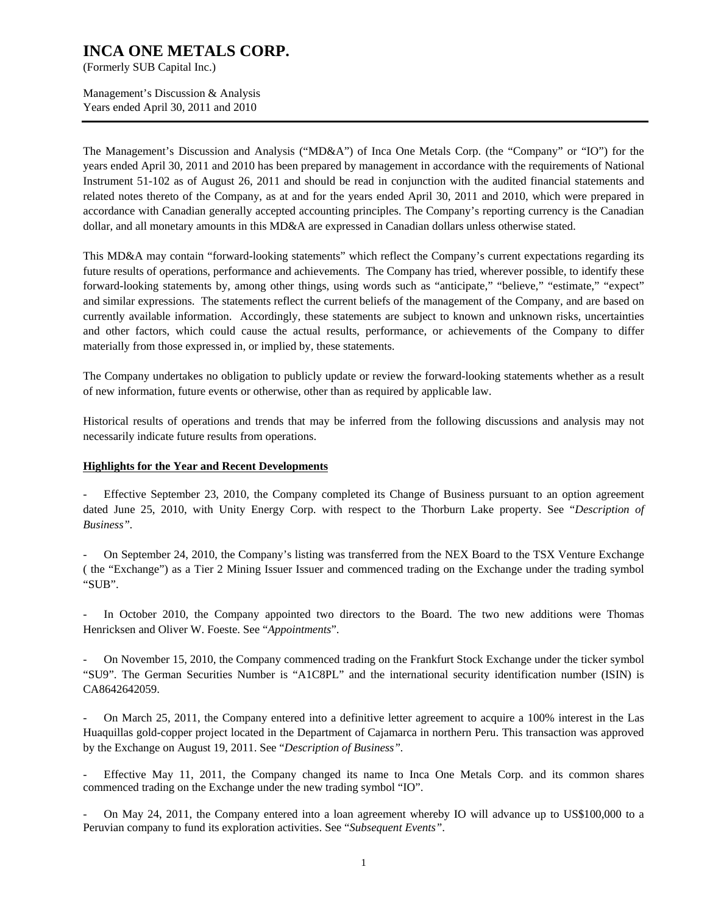(Formerly SUB Capital Inc.)

Management's Discussion & Analysis Years ended April 30, 2011 and 2010

The Management's Discussion and Analysis ("MD&A") of Inca One Metals Corp. (the "Company" or "IO") for the years ended April 30, 2011 and 2010 has been prepared by management in accordance with the requirements of National Instrument 51-102 as of August 26, 2011 and should be read in conjunction with the audited financial statements and related notes thereto of the Company, as at and for the years ended April 30, 2011 and 2010, which were prepared in accordance with Canadian generally accepted accounting principles. The Company's reporting currency is the Canadian dollar, and all monetary amounts in this MD&A are expressed in Canadian dollars unless otherwise stated.

This MD&A may contain "forward-looking statements" which reflect the Company's current expectations regarding its future results of operations, performance and achievements. The Company has tried, wherever possible, to identify these forward-looking statements by, among other things, using words such as "anticipate," "believe," "estimate," "expect" and similar expressions. The statements reflect the current beliefs of the management of the Company, and are based on currently available information. Accordingly, these statements are subject to known and unknown risks, uncertainties and other factors, which could cause the actual results, performance, or achievements of the Company to differ materially from those expressed in, or implied by, these statements.

The Company undertakes no obligation to publicly update or review the forward-looking statements whether as a result of new information, future events or otherwise, other than as required by applicable law.

Historical results of operations and trends that may be inferred from the following discussions and analysis may not necessarily indicate future results from operations.

#### **Highlights for the Year and Recent Developments**

Effective September 23, 2010, the Company completed its Change of Business pursuant to an option agreement dated June 25, 2010, with Unity Energy Corp. with respect to the Thorburn Lake property. See "*Description of Business".* 

- On September 24, 2010, the Company's listing was transferred from the NEX Board to the TSX Venture Exchange ( the "Exchange") as a Tier 2 Mining Issuer Issuer and commenced trading on the Exchange under the trading symbol "SUB".

In October 2010, the Company appointed two directors to the Board. The two new additions were Thomas Henricksen and Oliver W. Foeste. See "*Appointments*".

- On November 15, 2010, the Company commenced trading on the Frankfurt Stock Exchange under the ticker symbol "SU9". The German Securities Number is "A1C8PL" and the international security identification number (ISIN) is CA8642642059.

- On March 25, 2011, the Company entered into a definitive letter agreement to acquire a 100% interest in the Las Huaquillas gold-copper project located in the Department of Cajamarca in northern Peru. This transaction was approved by the Exchange on August 19, 2011. See "*Description of Business".* 

Effective May 11, 2011, the Company changed its name to Inca One Metals Corp. and its common shares commenced trading on the Exchange under the new trading symbol "IO".

- On May 24, 2011, the Company entered into a loan agreement whereby IO will advance up to US\$100,000 to a Peruvian company to fund its exploration activities. See "*Subsequent Events"*.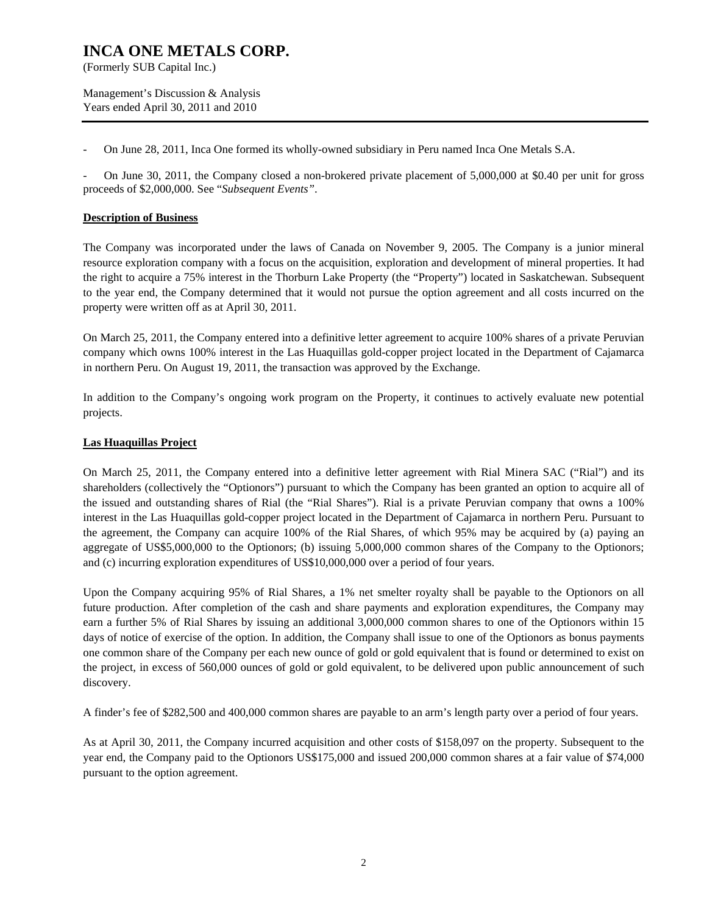(Formerly SUB Capital Inc.)

Management's Discussion & Analysis Years ended April 30, 2011 and 2010

- On June 28, 2011, Inca One formed its wholly-owned subsidiary in Peru named Inca One Metals S.A.

- On June 30, 2011, the Company closed a non-brokered private placement of 5,000,000 at \$0.40 per unit for gross proceeds of \$2,000,000. See "*Subsequent Events"*.

#### **Description of Business**

The Company was incorporated under the laws of Canada on November 9, 2005. The Company is a junior mineral resource exploration company with a focus on the acquisition, exploration and development of mineral properties. It had the right to acquire a 75% interest in the Thorburn Lake Property (the "Property") located in Saskatchewan. Subsequent to the year end, the Company determined that it would not pursue the option agreement and all costs incurred on the property were written off as at April 30, 2011.

On March 25, 2011, the Company entered into a definitive letter agreement to acquire 100% shares of a private Peruvian company which owns 100% interest in the Las Huaquillas gold-copper project located in the Department of Cajamarca in northern Peru. On August 19, 2011, the transaction was approved by the Exchange.

In addition to the Company's ongoing work program on the Property, it continues to actively evaluate new potential projects.

#### **Las Huaquillas Project**

On March 25, 2011, the Company entered into a definitive letter agreement with Rial Minera SAC ("Rial") and its shareholders (collectively the "Optionors") pursuant to which the Company has been granted an option to acquire all of the issued and outstanding shares of Rial (the "Rial Shares"). Rial is a private Peruvian company that owns a 100% interest in the Las Huaquillas gold-copper project located in the Department of Cajamarca in northern Peru. Pursuant to the agreement, the Company can acquire 100% of the Rial Shares, of which 95% may be acquired by (a) paying an aggregate of US\$5,000,000 to the Optionors; (b) issuing 5,000,000 common shares of the Company to the Optionors; and (c) incurring exploration expenditures of US\$10,000,000 over a period of four years.

Upon the Company acquiring 95% of Rial Shares, a 1% net smelter royalty shall be payable to the Optionors on all future production. After completion of the cash and share payments and exploration expenditures, the Company may earn a further 5% of Rial Shares by issuing an additional 3,000,000 common shares to one of the Optionors within 15 days of notice of exercise of the option. In addition, the Company shall issue to one of the Optionors as bonus payments one common share of the Company per each new ounce of gold or gold equivalent that is found or determined to exist on the project, in excess of 560,000 ounces of gold or gold equivalent, to be delivered upon public announcement of such discovery.

A finder's fee of \$282,500 and 400,000 common shares are payable to an arm's length party over a period of four years.

As at April 30, 2011, the Company incurred acquisition and other costs of \$158,097 on the property. Subsequent to the year end, the Company paid to the Optionors US\$175,000 and issued 200,000 common shares at a fair value of \$74,000 pursuant to the option agreement.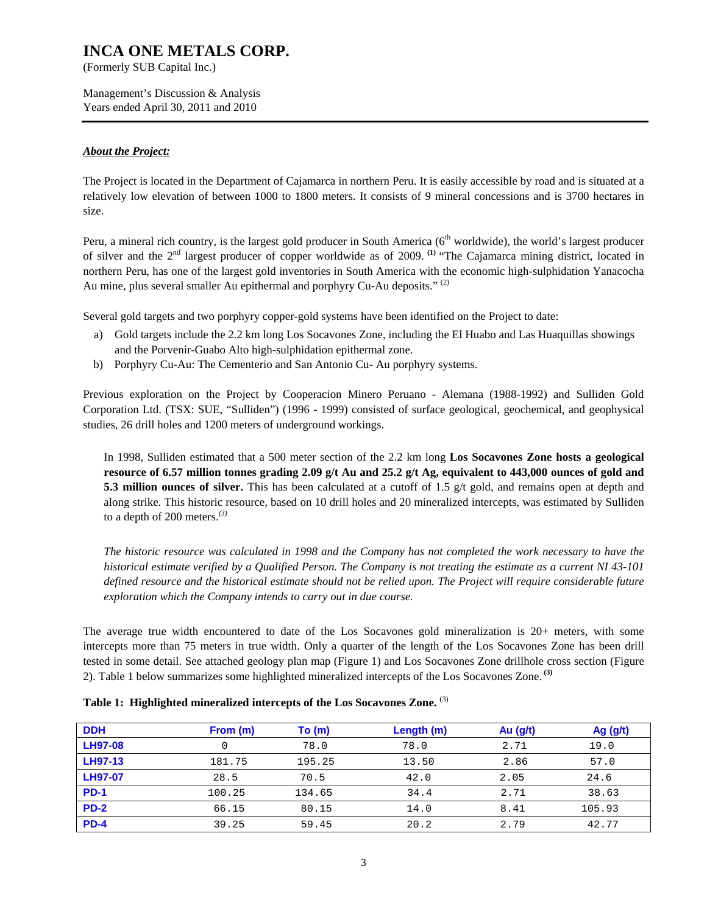(Formerly SUB Capital Inc.)

Management's Discussion & Analysis Years ended April 30, 2011 and 2010

#### *About the Project:*

The Project is located in the Department of Cajamarca in northern Peru. It is easily accessible by road and is situated at a relatively low elevation of between 1000 to 1800 meters. It consists of 9 mineral concessions and is 3700 hectares in size.

Peru, a mineral rich country, is the largest gold producer in South America ( $6<sup>th</sup>$  worldwide), the world's largest producer of silver and the 2nd largest producer of copper worldwide as of 2009. **(1)** "The Cajamarca mining district, located in northern Peru, has one of the largest gold inventories in South America with the economic high-sulphidation Yanacocha Au mine, plus several smaller Au epithermal and porphyry Cu-Au deposits."  $(2)$ 

Several gold targets and two porphyry copper-gold systems have been identified on the Project to date:

- a) Gold targets include the 2.2 km long Los Socavones Zone, including the El Huabo and Las Huaquillas showings and the Porvenir-Guabo Alto high-sulphidation epithermal zone.
- b) Porphyry Cu-Au: The Cementerio and San Antonio Cu- Au porphyry systems.

Previous exploration on the Project by Cooperacion Minero Peruano - Alemana (1988-1992) and Sulliden Gold Corporation Ltd. (TSX: SUE, "Sulliden") (1996 - 1999) consisted of surface geological, geochemical, and geophysical studies, 26 drill holes and 1200 meters of underground workings.

In 1998, Sulliden estimated that a 500 meter section of the 2.2 km long **Los Socavones Zone hosts a geological resource of 6.57 million tonnes grading 2.09 g/t Au and 25.2 g/t Ag, equivalent to 443,000 ounces of gold and 5.3 million ounces of silver.** This has been calculated at a cutoff of 1.5 g/t gold, and remains open at depth and along strike. This historic resource, based on 10 drill holes and 20 mineralized intercepts, was estimated by Sulliden to a depth of 200 meters.*(3)* 

*The historic resource was calculated in 1998 and the Company has not completed the work necessary to have the historical estimate verified by a Qualified Person. The Company is not treating the estimate as a current NI 43-101 defined resource and the historical estimate should not be relied upon. The Project will require considerable future exploration which the Company intends to carry out in due course.* 

The average true width encountered to date of the Los Socavones gold mineralization is 20+ meters, with some intercepts more than 75 meters in true width. Only a quarter of the length of the Los Socavones Zone has been drill tested in some detail. See attached geology plan map (Figure 1) and Los Socavones Zone drillhole cross section (Figure 2). Table 1 below summarizes some highlighted mineralized intercepts of the Los Socavones Zone. **(3)**

| <b>DDH</b>     | From (m) | To(m)  | Length (m) | Au $(g/t)$ | Ag $(g/t)$ |
|----------------|----------|--------|------------|------------|------------|
| <b>LH97-08</b> |          | 78.0   | 78.0       | 2.71       | 19.0       |
| <b>LH97-13</b> | 181.75   | 195.25 | 13.50      | 2.86       | 57.0       |
| <b>LH97-07</b> | 28.5     | 70.5   | 42.0       | 2.05       | 24.6       |
| <b>PD-1</b>    | 100.25   | 134.65 | 34.4       | 2.71       | 38.63      |
| <b>PD-2</b>    | 66.15    | 80.15  | 14.0       | 8.41       | 105.93     |
| <b>PD-4</b>    | 39.25    | 59.45  | 20.2       | 2.79       | 42.77      |

**Table 1: Highlighted mineralized intercepts of the Los Socavones Zone.** (3)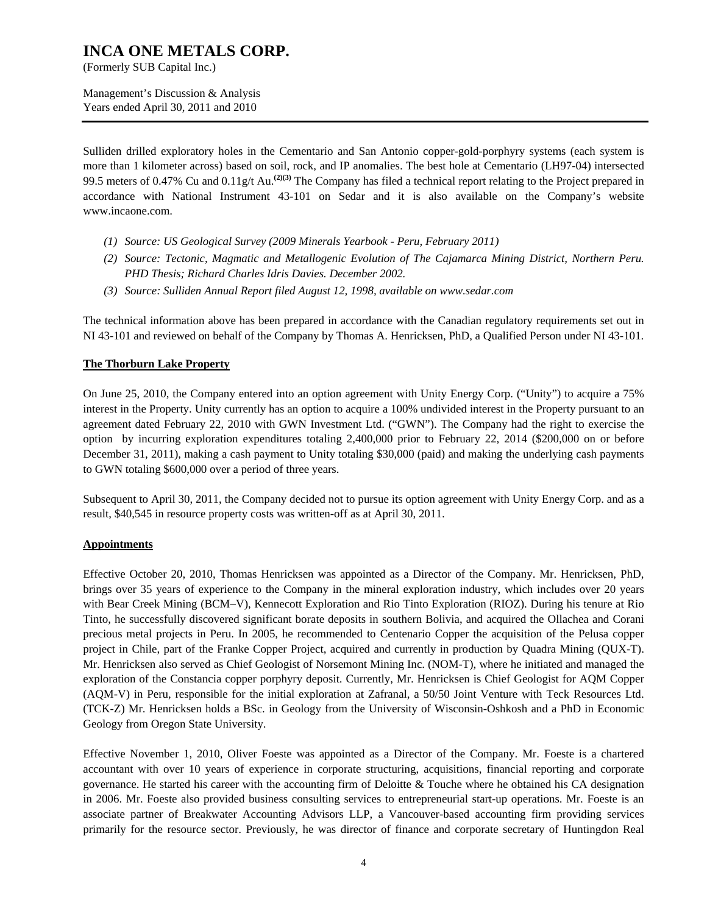(Formerly SUB Capital Inc.)

Management's Discussion & Analysis Years ended April 30, 2011 and 2010

Sulliden drilled exploratory holes in the Cementario and San Antonio copper-gold-porphyry systems (each system is more than 1 kilometer across) based on soil, rock, and IP anomalies. The best hole at Cementario (LH97-04) intersected 99.5 meters of 0.47% Cu and 0.11g/t Au.**(2)(3)** The Company has filed a technical report relating to the Project prepared in accordance with National Instrument 43-101 on Sedar and it is also available on the Company's website www.incaone.com.

- *(1) Source: US Geological Survey (2009 Minerals Yearbook Peru, February 2011)*
- *(2) Source: Tectonic, Magmatic and Metallogenic Evolution of The Cajamarca Mining District, Northern Peru. PHD Thesis; Richard Charles Idris Davies. December 2002.*
- *(3) Source: Sulliden Annual Report filed August 12, 1998, available on www.sedar.com*

The technical information above has been prepared in accordance with the Canadian regulatory requirements set out in NI 43-101 and reviewed on behalf of the Company by Thomas A. Henricksen, PhD, a Qualified Person under NI 43-101.

#### **The Thorburn Lake Property**

On June 25, 2010, the Company entered into an option agreement with Unity Energy Corp. ("Unity") to acquire a 75% interest in the Property. Unity currently has an option to acquire a 100% undivided interest in the Property pursuant to an agreement dated February 22, 2010 with GWN Investment Ltd. ("GWN"). The Company had the right to exercise the option by incurring exploration expenditures totaling 2,400,000 prior to February 22, 2014 (\$200,000 on or before December 31, 2011), making a cash payment to Unity totaling \$30,000 (paid) and making the underlying cash payments to GWN totaling \$600,000 over a period of three years.

Subsequent to April 30, 2011, the Company decided not to pursue its option agreement with Unity Energy Corp. and as a result, \$40,545 in resource property costs was written-off as at April 30, 2011.

#### **Appointments**

Effective October 20, 2010, Thomas Henricksen was appointed as a Director of the Company. Mr. Henricksen, PhD, brings over 35 years of experience to the Company in the mineral exploration industry, which includes over 20 years with Bear Creek Mining (BCM–V), Kennecott Exploration and Rio Tinto Exploration (RIOZ). During his tenure at Rio Tinto, he successfully discovered significant borate deposits in southern Bolivia, and acquired the Ollachea and Corani precious metal projects in Peru. In 2005, he recommended to Centenario Copper the acquisition of the Pelusa copper project in Chile, part of the Franke Copper Project, acquired and currently in production by Quadra Mining (QUX-T). Mr. Henricksen also served as Chief Geologist of Norsemont Mining Inc. (NOM-T), where he initiated and managed the exploration of the Constancia copper porphyry deposit. Currently, Mr. Henricksen is Chief Geologist for AQM Copper (AQM-V) in Peru, responsible for the initial exploration at Zafranal, a 50/50 Joint Venture with Teck Resources Ltd. (TCK-Z) Mr. Henricksen holds a BSc. in Geology from the University of Wisconsin-Oshkosh and a PhD in Economic Geology from Oregon State University.

Effective November 1, 2010, Oliver Foeste was appointed as a Director of the Company. Mr. Foeste is a chartered accountant with over 10 years of experience in corporate structuring, acquisitions, financial reporting and corporate governance. He started his career with the accounting firm of Deloitte & Touche where he obtained his CA designation in 2006. Mr. Foeste also provided business consulting services to entrepreneurial start-up operations. Mr. Foeste is an associate partner of Breakwater Accounting Advisors LLP, a Vancouver-based accounting firm providing services primarily for the resource sector. Previously, he was director of finance and corporate secretary of Huntingdon Real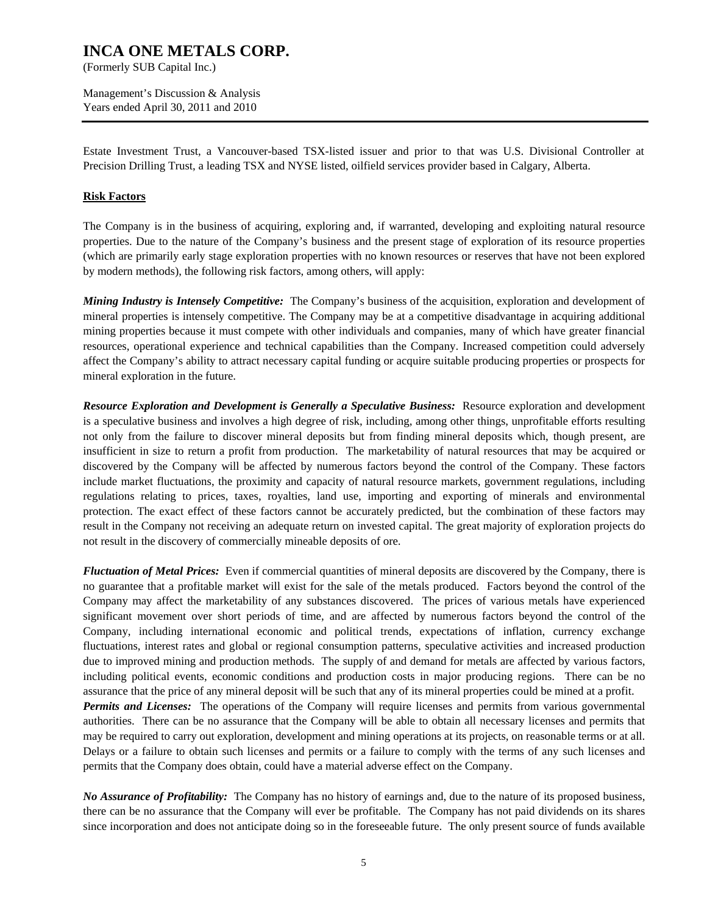(Formerly SUB Capital Inc.)

Management's Discussion & Analysis Years ended April 30, 2011 and 2010

Estate Investment Trust, a Vancouver-based TSX-listed issuer and prior to that was U.S. Divisional Controller at Precision Drilling Trust, a leading TSX and NYSE listed, oilfield services provider based in Calgary, Alberta.

#### **Risk Factors**

The Company is in the business of acquiring, exploring and, if warranted, developing and exploiting natural resource properties. Due to the nature of the Company's business and the present stage of exploration of its resource properties (which are primarily early stage exploration properties with no known resources or reserves that have not been explored by modern methods), the following risk factors, among others, will apply:

*Mining Industry is Intensely Competitive:* The Company's business of the acquisition, exploration and development of mineral properties is intensely competitive. The Company may be at a competitive disadvantage in acquiring additional mining properties because it must compete with other individuals and companies, many of which have greater financial resources, operational experience and technical capabilities than the Company. Increased competition could adversely affect the Company's ability to attract necessary capital funding or acquire suitable producing properties or prospects for mineral exploration in the future.

*Resource Exploration and Development is Generally a Speculative Business:* Resource exploration and development is a speculative business and involves a high degree of risk, including, among other things, unprofitable efforts resulting not only from the failure to discover mineral deposits but from finding mineral deposits which, though present, are insufficient in size to return a profit from production. The marketability of natural resources that may be acquired or discovered by the Company will be affected by numerous factors beyond the control of the Company. These factors include market fluctuations, the proximity and capacity of natural resource markets, government regulations, including regulations relating to prices, taxes, royalties, land use, importing and exporting of minerals and environmental protection. The exact effect of these factors cannot be accurately predicted, but the combination of these factors may result in the Company not receiving an adequate return on invested capital. The great majority of exploration projects do not result in the discovery of commercially mineable deposits of ore.

*Fluctuation of Metal Prices:* Even if commercial quantities of mineral deposits are discovered by the Company, there is no guarantee that a profitable market will exist for the sale of the metals produced. Factors beyond the control of the Company may affect the marketability of any substances discovered. The prices of various metals have experienced significant movement over short periods of time, and are affected by numerous factors beyond the control of the Company, including international economic and political trends, expectations of inflation, currency exchange fluctuations, interest rates and global or regional consumption patterns, speculative activities and increased production due to improved mining and production methods. The supply of and demand for metals are affected by various factors, including political events, economic conditions and production costs in major producing regions. There can be no assurance that the price of any mineral deposit will be such that any of its mineral properties could be mined at a profit. *Permits and Licenses:* The operations of the Company will require licenses and permits from various governmental

authorities. There can be no assurance that the Company will be able to obtain all necessary licenses and permits that may be required to carry out exploration, development and mining operations at its projects, on reasonable terms or at all. Delays or a failure to obtain such licenses and permits or a failure to comply with the terms of any such licenses and permits that the Company does obtain, could have a material adverse effect on the Company.

*No Assurance of Profitability:* The Company has no history of earnings and, due to the nature of its proposed business, there can be no assurance that the Company will ever be profitable. The Company has not paid dividends on its shares since incorporation and does not anticipate doing so in the foreseeable future. The only present source of funds available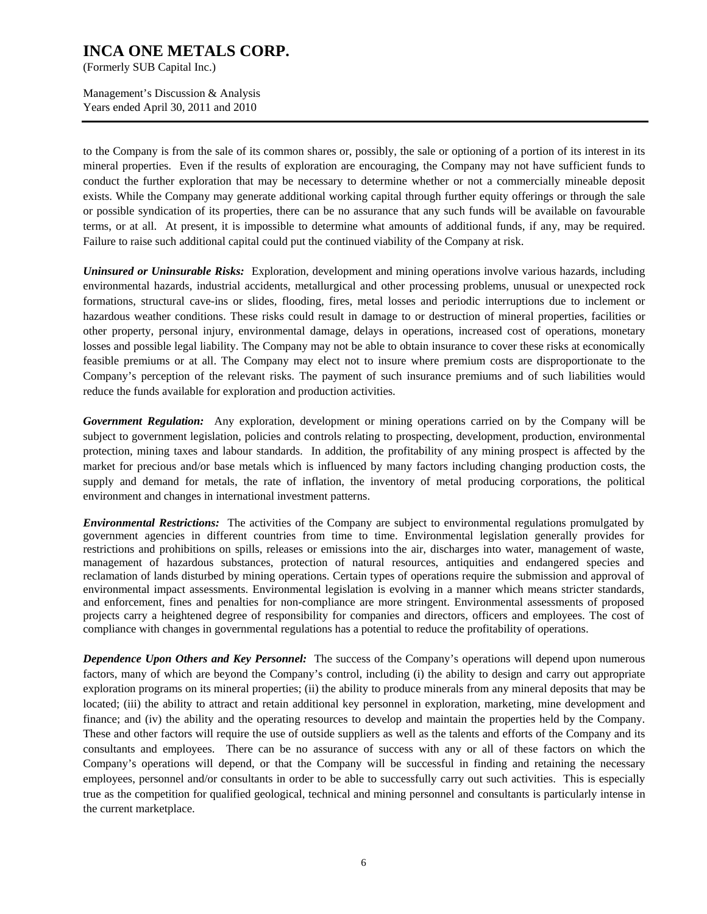(Formerly SUB Capital Inc.)

Management's Discussion & Analysis Years ended April 30, 2011 and 2010

to the Company is from the sale of its common shares or, possibly, the sale or optioning of a portion of its interest in its mineral properties. Even if the results of exploration are encouraging, the Company may not have sufficient funds to conduct the further exploration that may be necessary to determine whether or not a commercially mineable deposit exists. While the Company may generate additional working capital through further equity offerings or through the sale or possible syndication of its properties, there can be no assurance that any such funds will be available on favourable terms, or at all. At present, it is impossible to determine what amounts of additional funds, if any, may be required. Failure to raise such additional capital could put the continued viability of the Company at risk.

*Uninsured or Uninsurable Risks:* Exploration, development and mining operations involve various hazards, including environmental hazards, industrial accidents, metallurgical and other processing problems, unusual or unexpected rock formations, structural cave-ins or slides, flooding, fires, metal losses and periodic interruptions due to inclement or hazardous weather conditions. These risks could result in damage to or destruction of mineral properties, facilities or other property, personal injury, environmental damage, delays in operations, increased cost of operations, monetary losses and possible legal liability. The Company may not be able to obtain insurance to cover these risks at economically feasible premiums or at all. The Company may elect not to insure where premium costs are disproportionate to the Company's perception of the relevant risks. The payment of such insurance premiums and of such liabilities would reduce the funds available for exploration and production activities.

*Government Regulation:* Any exploration, development or mining operations carried on by the Company will be subject to government legislation, policies and controls relating to prospecting, development, production, environmental protection, mining taxes and labour standards. In addition, the profitability of any mining prospect is affected by the market for precious and/or base metals which is influenced by many factors including changing production costs, the supply and demand for metals, the rate of inflation, the inventory of metal producing corporations, the political environment and changes in international investment patterns.

*Environmental Restrictions:* The activities of the Company are subject to environmental regulations promulgated by government agencies in different countries from time to time. Environmental legislation generally provides for restrictions and prohibitions on spills, releases or emissions into the air, discharges into water, management of waste, management of hazardous substances, protection of natural resources, antiquities and endangered species and reclamation of lands disturbed by mining operations. Certain types of operations require the submission and approval of environmental impact assessments. Environmental legislation is evolving in a manner which means stricter standards, and enforcement, fines and penalties for non-compliance are more stringent. Environmental assessments of proposed projects carry a heightened degree of responsibility for companies and directors, officers and employees. The cost of compliance with changes in governmental regulations has a potential to reduce the profitability of operations.

*Dependence Upon Others and Key Personnel:* The success of the Company's operations will depend upon numerous factors, many of which are beyond the Company's control, including (i) the ability to design and carry out appropriate exploration programs on its mineral properties; (ii) the ability to produce minerals from any mineral deposits that may be located; (iii) the ability to attract and retain additional key personnel in exploration, marketing, mine development and finance; and (iv) the ability and the operating resources to develop and maintain the properties held by the Company. These and other factors will require the use of outside suppliers as well as the talents and efforts of the Company and its consultants and employees. There can be no assurance of success with any or all of these factors on which the Company's operations will depend, or that the Company will be successful in finding and retaining the necessary employees, personnel and/or consultants in order to be able to successfully carry out such activities. This is especially true as the competition for qualified geological, technical and mining personnel and consultants is particularly intense in the current marketplace.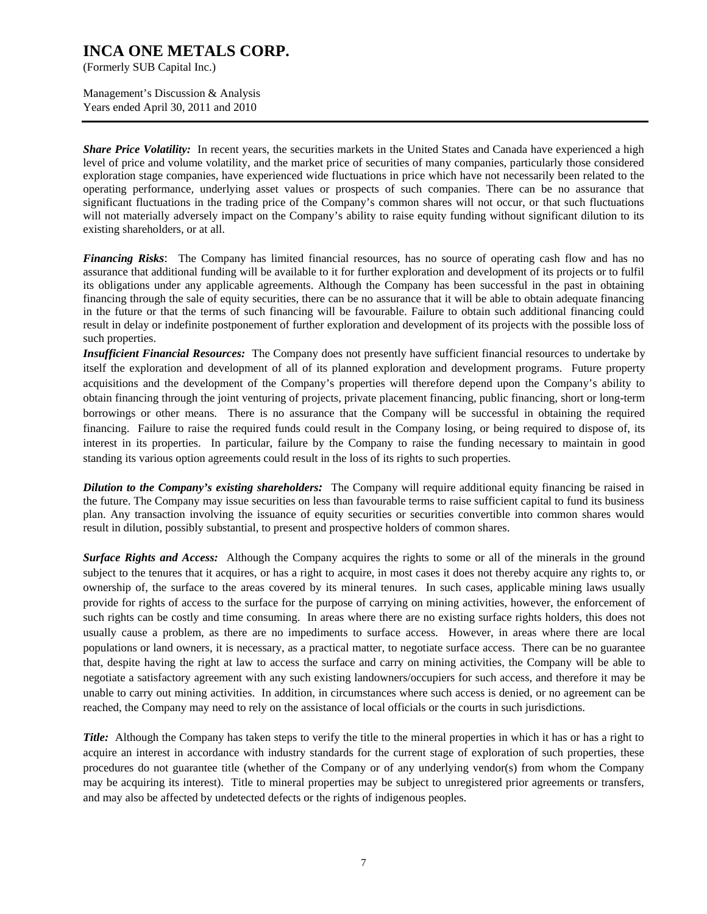(Formerly SUB Capital Inc.)

Management's Discussion & Analysis Years ended April 30, 2011 and 2010

*Share Price Volatility:* In recent years, the securities markets in the United States and Canada have experienced a high level of price and volume volatility, and the market price of securities of many companies, particularly those considered exploration stage companies, have experienced wide fluctuations in price which have not necessarily been related to the operating performance, underlying asset values or prospects of such companies. There can be no assurance that significant fluctuations in the trading price of the Company's common shares will not occur, or that such fluctuations will not materially adversely impact on the Company's ability to raise equity funding without significant dilution to its existing shareholders, or at all.

*Financing Risks*: The Company has limited financial resources, has no source of operating cash flow and has no assurance that additional funding will be available to it for further exploration and development of its projects or to fulfil its obligations under any applicable agreements. Although the Company has been successful in the past in obtaining financing through the sale of equity securities, there can be no assurance that it will be able to obtain adequate financing in the future or that the terms of such financing will be favourable. Failure to obtain such additional financing could result in delay or indefinite postponement of further exploration and development of its projects with the possible loss of such properties.

*Insufficient Financial Resources:* The Company does not presently have sufficient financial resources to undertake by itself the exploration and development of all of its planned exploration and development programs. Future property acquisitions and the development of the Company's properties will therefore depend upon the Company's ability to obtain financing through the joint venturing of projects, private placement financing, public financing, short or long-term borrowings or other means. There is no assurance that the Company will be successful in obtaining the required financing. Failure to raise the required funds could result in the Company losing, or being required to dispose of, its interest in its properties. In particular, failure by the Company to raise the funding necessary to maintain in good standing its various option agreements could result in the loss of its rights to such properties.

*Dilution to the Company's existing shareholders:* The Company will require additional equity financing be raised in the future. The Company may issue securities on less than favourable terms to raise sufficient capital to fund its business plan. Any transaction involving the issuance of equity securities or securities convertible into common shares would result in dilution, possibly substantial, to present and prospective holders of common shares.

*Surface Rights and Access:* Although the Company acquires the rights to some or all of the minerals in the ground subject to the tenures that it acquires, or has a right to acquire, in most cases it does not thereby acquire any rights to, or ownership of, the surface to the areas covered by its mineral tenures. In such cases, applicable mining laws usually provide for rights of access to the surface for the purpose of carrying on mining activities, however, the enforcement of such rights can be costly and time consuming. In areas where there are no existing surface rights holders, this does not usually cause a problem, as there are no impediments to surface access. However, in areas where there are local populations or land owners, it is necessary, as a practical matter, to negotiate surface access. There can be no guarantee that, despite having the right at law to access the surface and carry on mining activities, the Company will be able to negotiate a satisfactory agreement with any such existing landowners/occupiers for such access, and therefore it may be unable to carry out mining activities. In addition, in circumstances where such access is denied, or no agreement can be reached, the Company may need to rely on the assistance of local officials or the courts in such jurisdictions.

*Title:* Although the Company has taken steps to verify the title to the mineral properties in which it has or has a right to acquire an interest in accordance with industry standards for the current stage of exploration of such properties, these procedures do not guarantee title (whether of the Company or of any underlying vendor(s) from whom the Company may be acquiring its interest). Title to mineral properties may be subject to unregistered prior agreements or transfers, and may also be affected by undetected defects or the rights of indigenous peoples.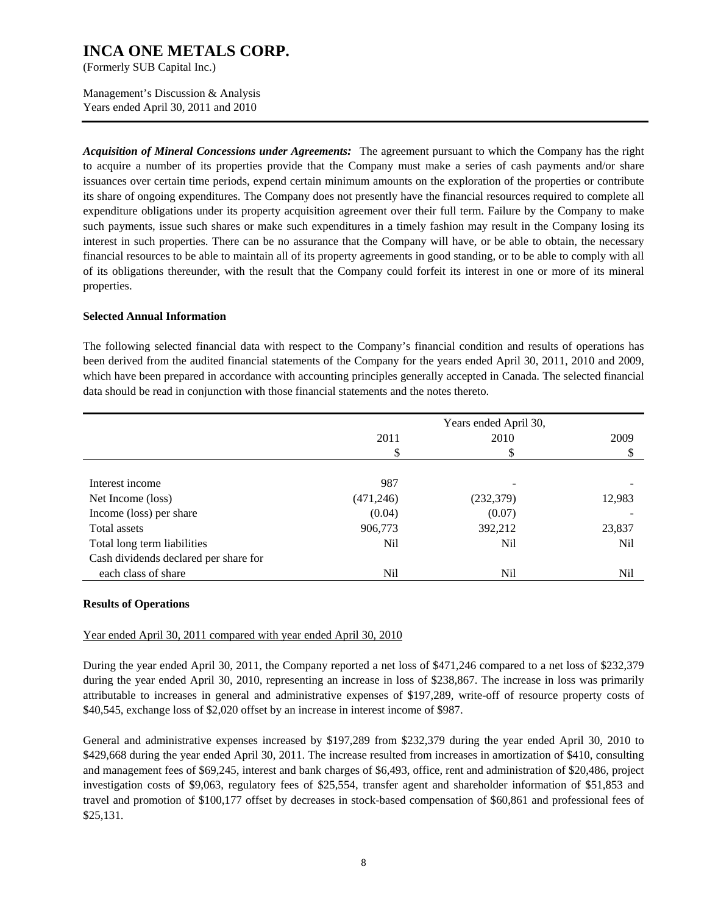(Formerly SUB Capital Inc.)

Management's Discussion & Analysis Years ended April 30, 2011 and 2010

*Acquisition of Mineral Concessions under Agreements:* The agreement pursuant to which the Company has the right to acquire a number of its properties provide that the Company must make a series of cash payments and/or share issuances over certain time periods, expend certain minimum amounts on the exploration of the properties or contribute its share of ongoing expenditures. The Company does not presently have the financial resources required to complete all expenditure obligations under its property acquisition agreement over their full term. Failure by the Company to make such payments, issue such shares or make such expenditures in a timely fashion may result in the Company losing its interest in such properties. There can be no assurance that the Company will have, or be able to obtain, the necessary financial resources to be able to maintain all of its property agreements in good standing, or to be able to comply with all of its obligations thereunder, with the result that the Company could forfeit its interest in one or more of its mineral properties.

#### **Selected Annual Information**

The following selected financial data with respect to the Company's financial condition and results of operations has been derived from the audited financial statements of the Company for the years ended April 30, 2011, 2010 and 2009, which have been prepared in accordance with accounting principles generally accepted in Canada. The selected financial data should be read in conjunction with those financial statements and the notes thereto.

|                                       |           | Years ended April 30, |        |
|---------------------------------------|-----------|-----------------------|--------|
|                                       | 2011      | 2010                  | 2009   |
|                                       | \$        | ъĐ                    | ۰D     |
|                                       |           |                       |        |
| Interest income                       | 987       | -                     |        |
| Net Income (loss)                     | (471,246) | (232, 379)            | 12,983 |
| Income (loss) per share               | (0.04)    | (0.07)                |        |
| Total assets                          | 906,773   | 392,212               | 23,837 |
| Total long term liabilities           | Nil       | Nil                   | Nil    |
| Cash dividends declared per share for |           |                       |        |
| each class of share                   | Nil       | Nil                   | Nil    |

#### **Results of Operations**

#### Year ended April 30, 2011 compared with year ended April 30, 2010

During the year ended April 30, 2011, the Company reported a net loss of \$471,246 compared to a net loss of \$232,379 during the year ended April 30, 2010, representing an increase in loss of \$238,867. The increase in loss was primarily attributable to increases in general and administrative expenses of \$197,289, write-off of resource property costs of \$40,545, exchange loss of \$2,020 offset by an increase in interest income of \$987.

General and administrative expenses increased by \$197,289 from \$232,379 during the year ended April 30, 2010 to \$429,668 during the year ended April 30, 2011. The increase resulted from increases in amortization of \$410, consulting and management fees of \$69,245, interest and bank charges of \$6,493, office, rent and administration of \$20,486, project investigation costs of \$9,063, regulatory fees of \$25,554, transfer agent and shareholder information of \$51,853 and travel and promotion of \$100,177 offset by decreases in stock-based compensation of \$60,861 and professional fees of \$25,131.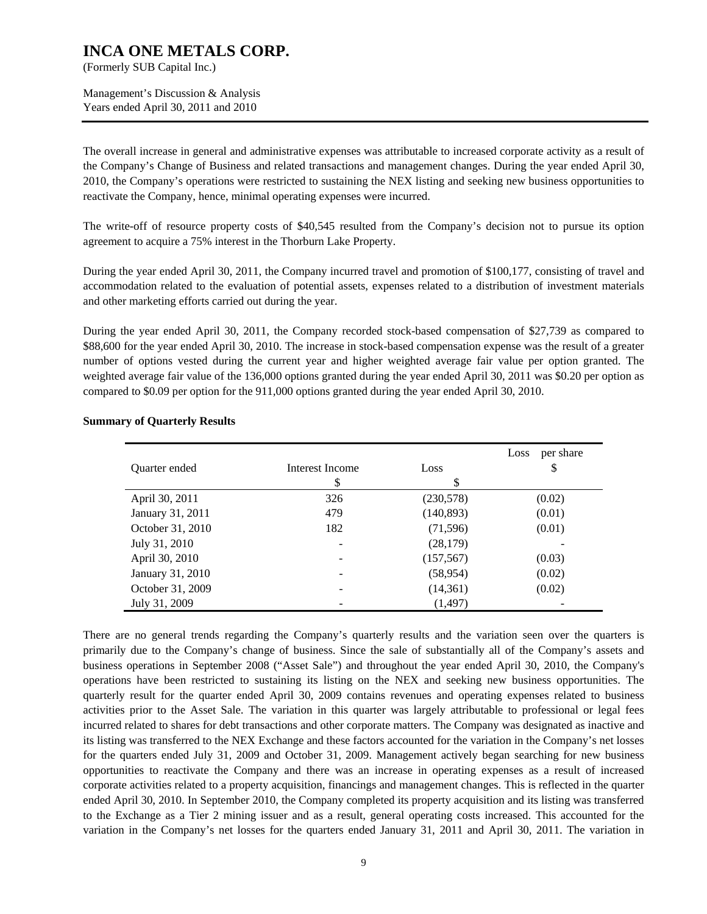(Formerly SUB Capital Inc.)

Management's Discussion & Analysis Years ended April 30, 2011 and 2010

The overall increase in general and administrative expenses was attributable to increased corporate activity as a result of the Company's Change of Business and related transactions and management changes. During the year ended April 30, 2010, the Company's operations were restricted to sustaining the NEX listing and seeking new business opportunities to reactivate the Company, hence, minimal operating expenses were incurred.

The write-off of resource property costs of \$40,545 resulted from the Company's decision not to pursue its option agreement to acquire a 75% interest in the Thorburn Lake Property.

During the year ended April 30, 2011, the Company incurred travel and promotion of \$100,177, consisting of travel and accommodation related to the evaluation of potential assets, expenses related to a distribution of investment materials and other marketing efforts carried out during the year.

During the year ended April 30, 2011, the Company recorded stock-based compensation of \$27,739 as compared to \$88,600 for the year ended April 30, 2010. The increase in stock-based compensation expense was the result of a greater number of options vested during the current year and higher weighted average fair value per option granted. The weighted average fair value of the 136,000 options granted during the year ended April 30, 2011 was \$0.20 per option as compared to \$0.09 per option for the 911,000 options granted during the year ended April 30, 2010.

|                  |                 |            | per share<br>Loss |
|------------------|-----------------|------------|-------------------|
| Quarter ended    | Interest Income | Loss       | \$                |
|                  | S               | \$         |                   |
| April 30, 2011   | 326             | (230,578)  | (0.02)            |
| January 31, 2011 | 479             | (140, 893) | (0.01)            |
| October 31, 2010 | 182             | (71, 596)  | (0.01)            |
| July 31, 2010    |                 | (28, 179)  |                   |
| April 30, 2010   |                 | (157, 567) | (0.03)            |
| January 31, 2010 |                 | (58, 954)  | (0.02)            |
| October 31, 2009 |                 | (14, 361)  | (0.02)            |
| July 31, 2009    |                 | (1, 497)   |                   |

#### **Summary of Quarterly Results**

There are no general trends regarding the Company's quarterly results and the variation seen over the quarters is primarily due to the Company's change of business. Since the sale of substantially all of the Company's assets and business operations in September 2008 ("Asset Sale") and throughout the year ended April 30, 2010, the Company's operations have been restricted to sustaining its listing on the NEX and seeking new business opportunities. The quarterly result for the quarter ended April 30, 2009 contains revenues and operating expenses related to business activities prior to the Asset Sale. The variation in this quarter was largely attributable to professional or legal fees incurred related to shares for debt transactions and other corporate matters. The Company was designated as inactive and its listing was transferred to the NEX Exchange and these factors accounted for the variation in the Company's net losses for the quarters ended July 31, 2009 and October 31, 2009. Management actively began searching for new business opportunities to reactivate the Company and there was an increase in operating expenses as a result of increased corporate activities related to a property acquisition, financings and management changes. This is reflected in the quarter ended April 30, 2010. In September 2010, the Company completed its property acquisition and its listing was transferred to the Exchange as a Tier 2 mining issuer and as a result, general operating costs increased. This accounted for the variation in the Company's net losses for the quarters ended January 31, 2011 and April 30, 2011. The variation in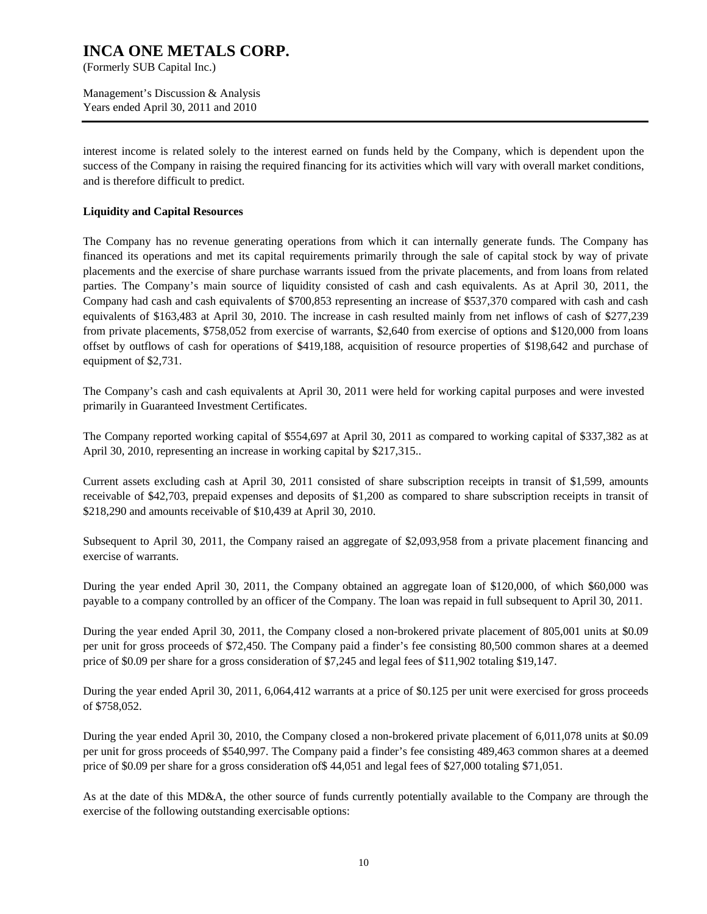(Formerly SUB Capital Inc.)

Management's Discussion & Analysis Years ended April 30, 2011 and 2010

interest income is related solely to the interest earned on funds held by the Company, which is dependent upon the success of the Company in raising the required financing for its activities which will vary with overall market conditions, and is therefore difficult to predict.

#### **Liquidity and Capital Resources**

The Company has no revenue generating operations from which it can internally generate funds. The Company has financed its operations and met its capital requirements primarily through the sale of capital stock by way of private placements and the exercise of share purchase warrants issued from the private placements, and from loans from related parties. The Company's main source of liquidity consisted of cash and cash equivalents. As at April 30, 2011, the Company had cash and cash equivalents of \$700,853 representing an increase of \$537,370 compared with cash and cash equivalents of \$163,483 at April 30, 2010. The increase in cash resulted mainly from net inflows of cash of \$277,239 from private placements, \$758,052 from exercise of warrants, \$2,640 from exercise of options and \$120,000 from loans offset by outflows of cash for operations of \$419,188, acquisition of resource properties of \$198,642 and purchase of equipment of \$2,731.

The Company's cash and cash equivalents at April 30, 2011 were held for working capital purposes and were invested primarily in Guaranteed Investment Certificates.

The Company reported working capital of \$554,697 at April 30, 2011 as compared to working capital of \$337,382 as at April 30, 2010, representing an increase in working capital by \$217,315..

Current assets excluding cash at April 30, 2011 consisted of share subscription receipts in transit of \$1,599, amounts receivable of \$42,703, prepaid expenses and deposits of \$1,200 as compared to share subscription receipts in transit of \$218,290 and amounts receivable of \$10,439 at April 30, 2010.

Subsequent to April 30, 2011, the Company raised an aggregate of \$2,093,958 from a private placement financing and exercise of warrants.

During the year ended April 30, 2011, the Company obtained an aggregate loan of \$120,000, of which \$60,000 was payable to a company controlled by an officer of the Company. The loan was repaid in full subsequent to April 30, 2011.

During the year ended April 30, 2011, the Company closed a non-brokered private placement of 805,001 units at \$0.09 per unit for gross proceeds of \$72,450. The Company paid a finder's fee consisting 80,500 common shares at a deemed price of \$0.09 per share for a gross consideration of \$7,245 and legal fees of \$11,902 totaling \$19,147.

During the year ended April 30, 2011, 6,064,412 warrants at a price of \$0.125 per unit were exercised for gross proceeds of \$758,052.

During the year ended April 30, 2010, the Company closed a non-brokered private placement of 6,011,078 units at \$0.09 per unit for gross proceeds of \$540,997. The Company paid a finder's fee consisting 489,463 common shares at a deemed price of \$0.09 per share for a gross consideration of\$ 44,051 and legal fees of \$27,000 totaling \$71,051.

As at the date of this MD&A, the other source of funds currently potentially available to the Company are through the exercise of the following outstanding exercisable options: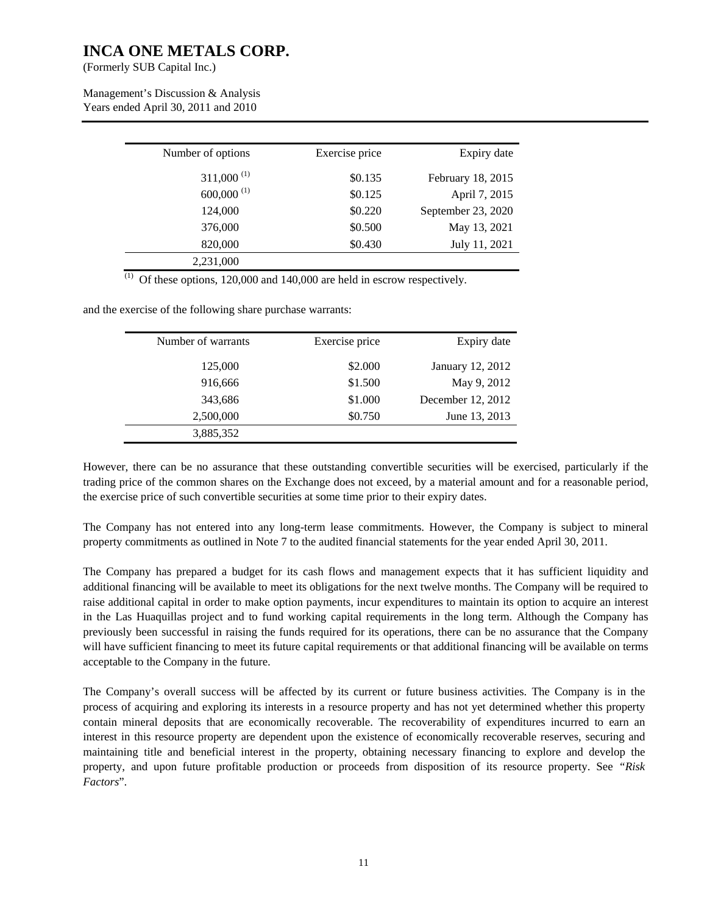(Formerly SUB Capital Inc.)

 $\overline{a}$ 

Management's Discussion & Analysis Years ended April 30, 2011 and 2010

| Exercise price |         | Expiry date        |
|----------------|---------|--------------------|
|                | \$0.135 | February 18, 2015  |
|                | \$0.125 | April 7, 2015      |
|                | \$0.220 | September 23, 2020 |
|                | \$0.500 | May 13, 2021       |
|                | \$0.430 | July 11, 2021      |
|                |         |                    |

 $(1)$  Of these options, 120,000 and 140,000 are held in escrow respectively.

and the exercise of the following share purchase warrants:

| Number of warrants | Exercise price | Expiry date       |
|--------------------|----------------|-------------------|
|                    |                |                   |
| 125,000            | \$2.000        | January 12, 2012  |
|                    |                |                   |
| 916,666            | \$1.500        | May 9, 2012       |
| 343,686            | \$1.000        | December 12, 2012 |
|                    |                |                   |
| 2,500,000          | \$0.750        | June 13, 2013     |
| 3,885,352          |                |                   |
|                    |                |                   |

However, there can be no assurance that these outstanding convertible securities will be exercised, particularly if the trading price of the common shares on the Exchange does not exceed, by a material amount and for a reasonable period, the exercise price of such convertible securities at some time prior to their expiry dates.

The Company has not entered into any long-term lease commitments. However, the Company is subject to mineral property commitments as outlined in Note 7 to the audited financial statements for the year ended April 30, 2011.

The Company has prepared a budget for its cash flows and management expects that it has sufficient liquidity and additional financing will be available to meet its obligations for the next twelve months. The Company will be required to raise additional capital in order to make option payments, incur expenditures to maintain its option to acquire an interest in the Las Huaquillas project and to fund working capital requirements in the long term. Although the Company has previously been successful in raising the funds required for its operations, there can be no assurance that the Company will have sufficient financing to meet its future capital requirements or that additional financing will be available on terms acceptable to the Company in the future.

The Company's overall success will be affected by its current or future business activities. The Company is in the process of acquiring and exploring its interests in a resource property and has not yet determined whether this property contain mineral deposits that are economically recoverable. The recoverability of expenditures incurred to earn an interest in this resource property are dependent upon the existence of economically recoverable reserves, securing and maintaining title and beneficial interest in the property, obtaining necessary financing to explore and develop the property, and upon future profitable production or proceeds from disposition of its resource property. See *"Risk Factors*".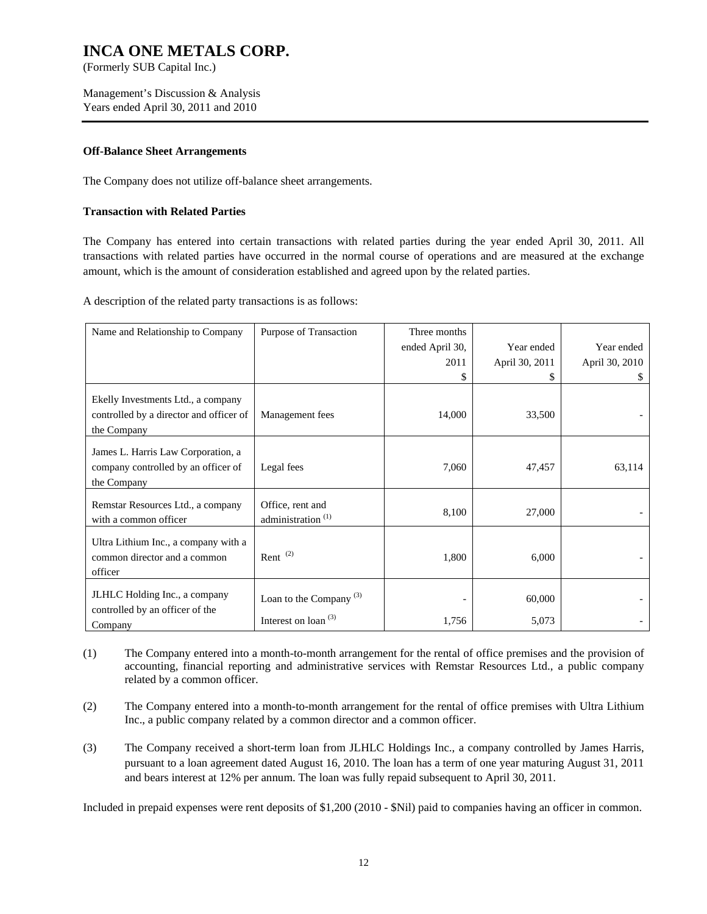(Formerly SUB Capital Inc.)

Management's Discussion & Analysis Years ended April 30, 2011 and 2010

#### **Off-Balance Sheet Arrangements**

The Company does not utilize off-balance sheet arrangements.

#### **Transaction with Related Parties**

The Company has entered into certain transactions with related parties during the year ended April 30, 2011. All transactions with related parties have occurred in the normal course of operations and are measured at the exchange amount, which is the amount of consideration established and agreed upon by the related parties.

A description of the related party transactions is as follows:

| Name and Relationship to Company                                                             | Purpose of Transaction                              | Three months<br>ended April 30, | Year ended      | Year ended     |
|----------------------------------------------------------------------------------------------|-----------------------------------------------------|---------------------------------|-----------------|----------------|
|                                                                                              |                                                     | 2011<br>\$                      | April 30, 2011  | April 30, 2010 |
| Ekelly Investments Ltd., a company<br>controlled by a director and officer of<br>the Company | Management fees                                     | 14,000                          | 33,500          |                |
| James L. Harris Law Corporation, a<br>company controlled by an officer of<br>the Company     | Legal fees                                          | 7,060                           | 47,457          | 63,114         |
| Remstar Resources Ltd., a company<br>with a common officer                                   | Office, rent and<br>administration <sup>(1)</sup>   | 8,100                           | 27,000          |                |
| Ultra Lithium Inc., a company with a<br>common director and a common<br>officer              | Rent $(2)$                                          | 1,800                           | 6,000           |                |
| JLHLC Holding Inc., a company<br>controlled by an officer of the<br>Company                  | Loan to the Company $(3)$<br>Interest on loan $(3)$ | 1,756                           | 60,000<br>5,073 |                |

- (1) The Company entered into a month-to-month arrangement for the rental of office premises and the provision of accounting, financial reporting and administrative services with Remstar Resources Ltd., a public company related by a common officer.
- (2) The Company entered into a month-to-month arrangement for the rental of office premises with Ultra Lithium Inc., a public company related by a common director and a common officer.
- (3) The Company received a short-term loan from JLHLC Holdings Inc., a company controlled by James Harris, pursuant to a loan agreement dated August 16, 2010. The loan has a term of one year maturing August 31, 2011 and bears interest at 12% per annum. The loan was fully repaid subsequent to April 30, 2011.

Included in prepaid expenses were rent deposits of \$1,200 (2010 - \$Nil) paid to companies having an officer in common.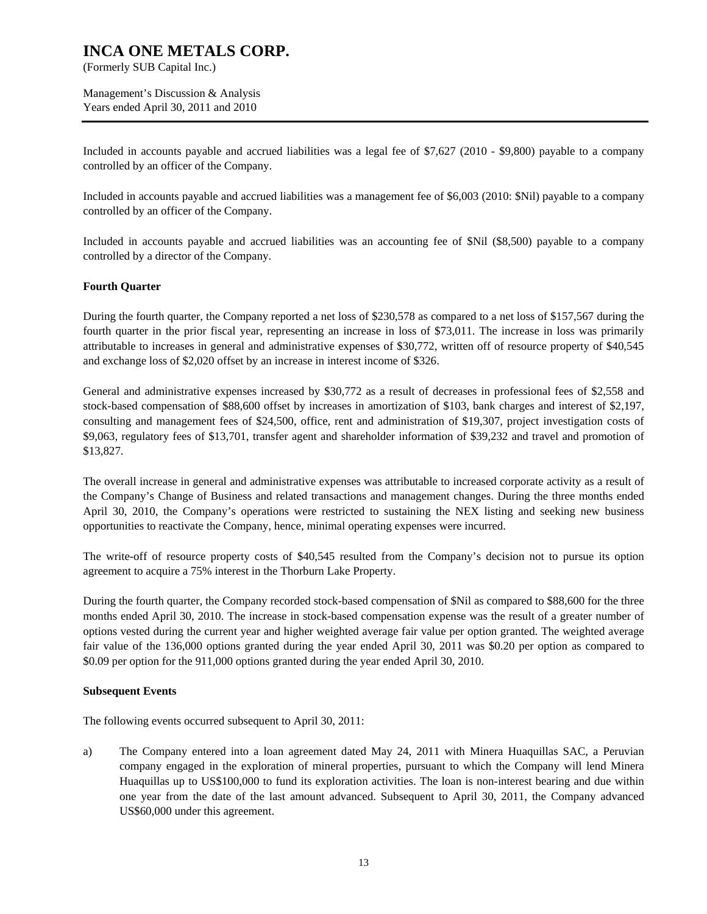(Formerly SUB Capital Inc.)

Management's Discussion & Analysis Years ended April 30, 2011 and 2010

Included in accounts payable and accrued liabilities was a legal fee of \$7,627 (2010 - \$9,800) payable to a company controlled by an officer of the Company.

Included in accounts payable and accrued liabilities was a management fee of \$6,003 (2010: \$Nil) payable to a company controlled by an officer of the Company.

Included in accounts payable and accrued liabilities was an accounting fee of \$Nil (\$8,500) payable to a company controlled by a director of the Company.

#### **Fourth Quarter**

During the fourth quarter, the Company reported a net loss of \$230,578 as compared to a net loss of \$157,567 during the fourth quarter in the prior fiscal year, representing an increase in loss of \$73,011. The increase in loss was primarily attributable to increases in general and administrative expenses of \$30,772, written off of resource property of \$40,545 and exchange loss of \$2,020 offset by an increase in interest income of \$326.

General and administrative expenses increased by \$30,772 as a result of decreases in professional fees of \$2,558 and stock-based compensation of \$88,600 offset by increases in amortization of \$103, bank charges and interest of \$2,197, consulting and management fees of \$24,500, office, rent and administration of \$19,307, project investigation costs of \$9,063, regulatory fees of \$13,701, transfer agent and shareholder information of \$39,232 and travel and promotion of \$13,827.

The overall increase in general and administrative expenses was attributable to increased corporate activity as a result of the Company's Change of Business and related transactions and management changes. During the three months ended April 30, 2010, the Company's operations were restricted to sustaining the NEX listing and seeking new business opportunities to reactivate the Company, hence, minimal operating expenses were incurred.

The write-off of resource property costs of \$40,545 resulted from the Company's decision not to pursue its option agreement to acquire a 75% interest in the Thorburn Lake Property.

During the fourth quarter, the Company recorded stock-based compensation of \$Nil as compared to \$88,600 for the three months ended April 30, 2010. The increase in stock-based compensation expense was the result of a greater number of options vested during the current year and higher weighted average fair value per option granted. The weighted average fair value of the 136,000 options granted during the year ended April 30, 2011 was \$0.20 per option as compared to \$0.09 per option for the 911,000 options granted during the year ended April 30, 2010.

#### **Subsequent Events**

The following events occurred subsequent to April 30, 2011:

a) The Company entered into a loan agreement dated May 24, 2011 with Minera Huaquillas SAC, a Peruvian company engaged in the exploration of mineral properties, pursuant to which the Company will lend Minera Huaquillas up to US\$100,000 to fund its exploration activities. The loan is non-interest bearing and due within one year from the date of the last amount advanced. Subsequent to April 30, 2011, the Company advanced US\$60,000 under this agreement.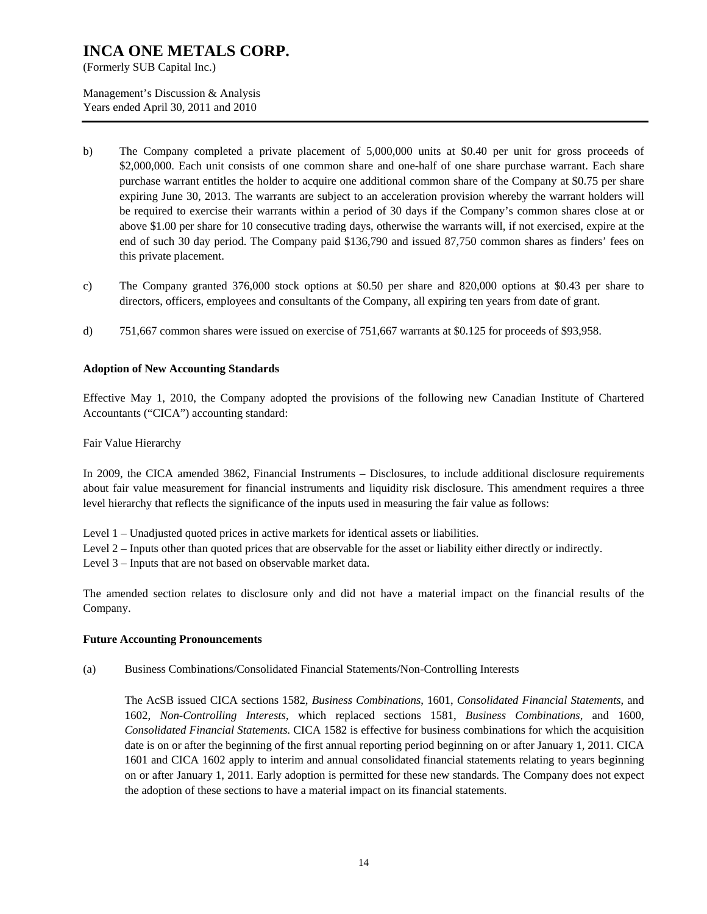(Formerly SUB Capital Inc.)

Management's Discussion & Analysis Years ended April 30, 2011 and 2010

- b) The Company completed a private placement of 5,000,000 units at \$0.40 per unit for gross proceeds of \$2,000,000. Each unit consists of one common share and one-half of one share purchase warrant. Each share purchase warrant entitles the holder to acquire one additional common share of the Company at \$0.75 per share expiring June 30, 2013. The warrants are subject to an acceleration provision whereby the warrant holders will be required to exercise their warrants within a period of 30 days if the Company's common shares close at or above \$1.00 per share for 10 consecutive trading days, otherwise the warrants will, if not exercised, expire at the end of such 30 day period. The Company paid \$136,790 and issued 87,750 common shares as finders' fees on this private placement.
- c) The Company granted 376,000 stock options at \$0.50 per share and 820,000 options at \$0.43 per share to directors, officers, employees and consultants of the Company, all expiring ten years from date of grant.
- d) 751,667 common shares were issued on exercise of 751,667 warrants at \$0.125 for proceeds of \$93,958.

#### **Adoption of New Accounting Standards**

Effective May 1, 2010, the Company adopted the provisions of the following new Canadian Institute of Chartered Accountants ("CICA") accounting standard:

Fair Value Hierarchy

In 2009, the CICA amended 3862, Financial Instruments – Disclosures, to include additional disclosure requirements about fair value measurement for financial instruments and liquidity risk disclosure. This amendment requires a three level hierarchy that reflects the significance of the inputs used in measuring the fair value as follows:

Level 1 – Unadjusted quoted prices in active markets for identical assets or liabilities.

Level 2 – Inputs other than quoted prices that are observable for the asset or liability either directly or indirectly.

Level 3 – Inputs that are not based on observable market data.

The amended section relates to disclosure only and did not have a material impact on the financial results of the Company.

#### **Future Accounting Pronouncements**

(a) Business Combinations/Consolidated Financial Statements/Non-Controlling Interests

The AcSB issued CICA sections 1582, *Business Combinations*, 1601, *Consolidated Financial Statements*, and 1602, *Non-Controlling Interests*, which replaced sections 1581, *Business Combinations*, and 1600, *Consolidated Financial Statements*. CICA 1582 is effective for business combinations for which the acquisition date is on or after the beginning of the first annual reporting period beginning on or after January 1, 2011. CICA 1601 and CICA 1602 apply to interim and annual consolidated financial statements relating to years beginning on or after January 1, 2011. Early adoption is permitted for these new standards. The Company does not expect the adoption of these sections to have a material impact on its financial statements.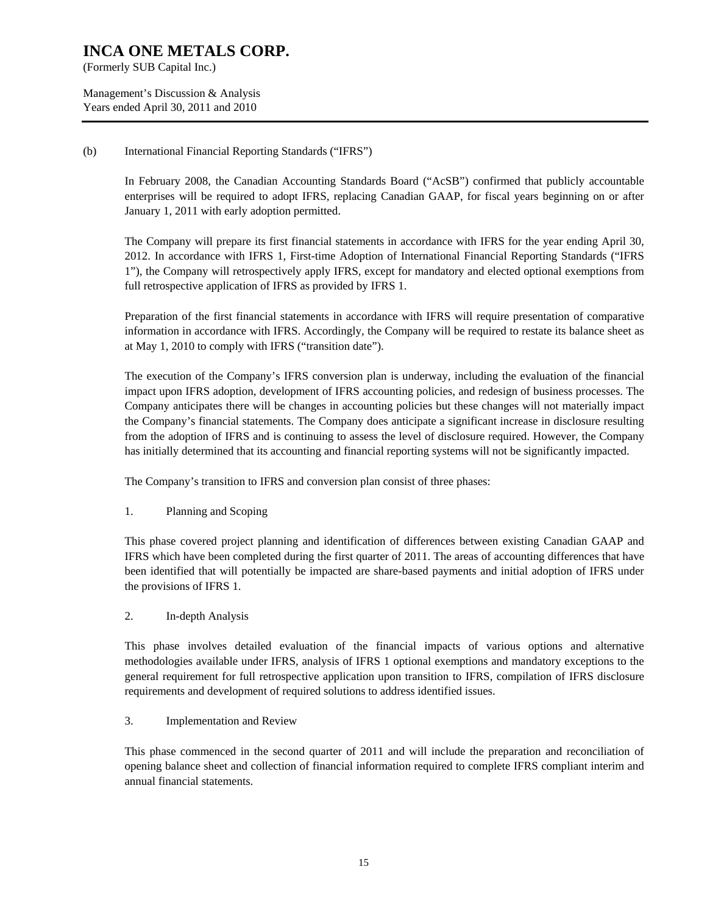(Formerly SUB Capital Inc.)

Management's Discussion & Analysis Years ended April 30, 2011 and 2010

#### (b) International Financial Reporting Standards ("IFRS")

In February 2008, the Canadian Accounting Standards Board ("AcSB") confirmed that publicly accountable enterprises will be required to adopt IFRS, replacing Canadian GAAP, for fiscal years beginning on or after January 1, 2011 with early adoption permitted.

The Company will prepare its first financial statements in accordance with IFRS for the year ending April 30, 2012. In accordance with IFRS 1, First-time Adoption of International Financial Reporting Standards ("IFRS 1"), the Company will retrospectively apply IFRS, except for mandatory and elected optional exemptions from full retrospective application of IFRS as provided by IFRS 1.

Preparation of the first financial statements in accordance with IFRS will require presentation of comparative information in accordance with IFRS. Accordingly, the Company will be required to restate its balance sheet as at May 1, 2010 to comply with IFRS ("transition date").

The execution of the Company's IFRS conversion plan is underway, including the evaluation of the financial impact upon IFRS adoption, development of IFRS accounting policies, and redesign of business processes. The Company anticipates there will be changes in accounting policies but these changes will not materially impact the Company's financial statements. The Company does anticipate a significant increase in disclosure resulting from the adoption of IFRS and is continuing to assess the level of disclosure required. However, the Company has initially determined that its accounting and financial reporting systems will not be significantly impacted.

The Company's transition to IFRS and conversion plan consist of three phases:

#### 1. Planning and Scoping

This phase covered project planning and identification of differences between existing Canadian GAAP and IFRS which have been completed during the first quarter of 2011. The areas of accounting differences that have been identified that will potentially be impacted are share-based payments and initial adoption of IFRS under the provisions of IFRS 1.

#### 2. In-depth Analysis

This phase involves detailed evaluation of the financial impacts of various options and alternative methodologies available under IFRS, analysis of IFRS 1 optional exemptions and mandatory exceptions to the general requirement for full retrospective application upon transition to IFRS, compilation of IFRS disclosure requirements and development of required solutions to address identified issues.

#### 3. Implementation and Review

This phase commenced in the second quarter of 2011 and will include the preparation and reconciliation of opening balance sheet and collection of financial information required to complete IFRS compliant interim and annual financial statements.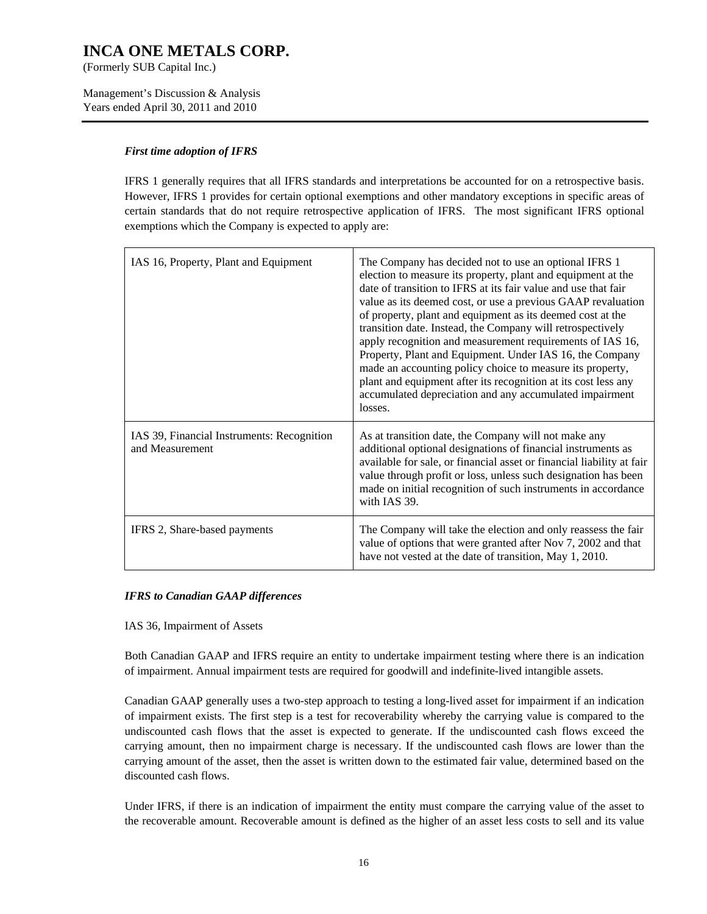(Formerly SUB Capital Inc.)

Management's Discussion & Analysis Years ended April 30, 2011 and 2010

#### *First time adoption of IFRS*

IFRS 1 generally requires that all IFRS standards and interpretations be accounted for on a retrospective basis. However, IFRS 1 provides for certain optional exemptions and other mandatory exceptions in specific areas of certain standards that do not require retrospective application of IFRS. The most significant IFRS optional exemptions which the Company is expected to apply are:

| IAS 16, Property, Plant and Equipment                         | The Company has decided not to use an optional IFRS 1<br>election to measure its property, plant and equipment at the<br>date of transition to IFRS at its fair value and use that fair<br>value as its deemed cost, or use a previous GAAP revaluation<br>of property, plant and equipment as its deemed cost at the<br>transition date. Instead, the Company will retrospectively<br>apply recognition and measurement requirements of IAS 16,<br>Property, Plant and Equipment. Under IAS 16, the Company<br>made an accounting policy choice to measure its property,<br>plant and equipment after its recognition at its cost less any<br>accumulated depreciation and any accumulated impairment<br>losses. |
|---------------------------------------------------------------|-------------------------------------------------------------------------------------------------------------------------------------------------------------------------------------------------------------------------------------------------------------------------------------------------------------------------------------------------------------------------------------------------------------------------------------------------------------------------------------------------------------------------------------------------------------------------------------------------------------------------------------------------------------------------------------------------------------------|
| IAS 39, Financial Instruments: Recognition<br>and Measurement | As at transition date, the Company will not make any<br>additional optional designations of financial instruments as<br>available for sale, or financial asset or financial liability at fair<br>value through profit or loss, unless such designation has been<br>made on initial recognition of such instruments in accordance<br>with IAS 39.                                                                                                                                                                                                                                                                                                                                                                  |
| IFRS 2, Share-based payments                                  | The Company will take the election and only reassess the fair<br>value of options that were granted after Nov 7, 2002 and that<br>have not vested at the date of transition, May 1, 2010.                                                                                                                                                                                                                                                                                                                                                                                                                                                                                                                         |

#### *IFRS to Canadian GAAP differences*

IAS 36, Impairment of Assets

Both Canadian GAAP and IFRS require an entity to undertake impairment testing where there is an indication of impairment. Annual impairment tests are required for goodwill and indefinite-lived intangible assets.

Canadian GAAP generally uses a two-step approach to testing a long-lived asset for impairment if an indication of impairment exists. The first step is a test for recoverability whereby the carrying value is compared to the undiscounted cash flows that the asset is expected to generate. If the undiscounted cash flows exceed the carrying amount, then no impairment charge is necessary. If the undiscounted cash flows are lower than the carrying amount of the asset, then the asset is written down to the estimated fair value, determined based on the discounted cash flows.

Under IFRS, if there is an indication of impairment the entity must compare the carrying value of the asset to the recoverable amount. Recoverable amount is defined as the higher of an asset less costs to sell and its value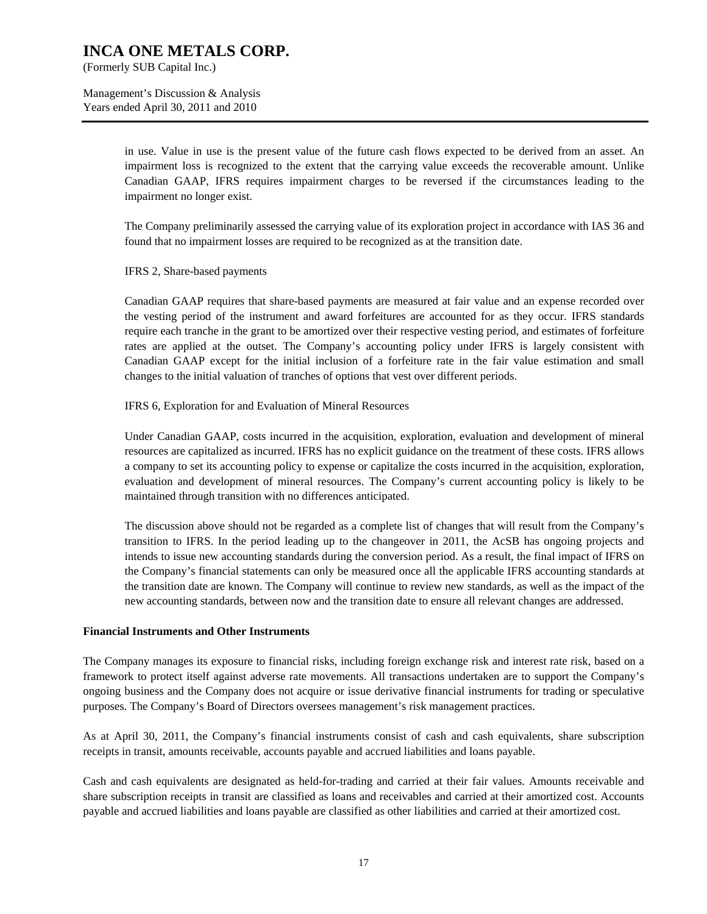(Formerly SUB Capital Inc.)

Management's Discussion & Analysis Years ended April 30, 2011 and 2010

> in use. Value in use is the present value of the future cash flows expected to be derived from an asset. An impairment loss is recognized to the extent that the carrying value exceeds the recoverable amount. Unlike Canadian GAAP, IFRS requires impairment charges to be reversed if the circumstances leading to the impairment no longer exist.

> The Company preliminarily assessed the carrying value of its exploration project in accordance with IAS 36 and found that no impairment losses are required to be recognized as at the transition date.

IFRS 2, Share-based payments

Canadian GAAP requires that share-based payments are measured at fair value and an expense recorded over the vesting period of the instrument and award forfeitures are accounted for as they occur. IFRS standards require each tranche in the grant to be amortized over their respective vesting period, and estimates of forfeiture rates are applied at the outset. The Company's accounting policy under IFRS is largely consistent with Canadian GAAP except for the initial inclusion of a forfeiture rate in the fair value estimation and small changes to the initial valuation of tranches of options that vest over different periods.

IFRS 6, Exploration for and Evaluation of Mineral Resources

Under Canadian GAAP, costs incurred in the acquisition, exploration, evaluation and development of mineral resources are capitalized as incurred. IFRS has no explicit guidance on the treatment of these costs. IFRS allows a company to set its accounting policy to expense or capitalize the costs incurred in the acquisition, exploration, evaluation and development of mineral resources. The Company's current accounting policy is likely to be maintained through transition with no differences anticipated.

The discussion above should not be regarded as a complete list of changes that will result from the Company's transition to IFRS. In the period leading up to the changeover in 2011, the AcSB has ongoing projects and intends to issue new accounting standards during the conversion period. As a result, the final impact of IFRS on the Company's financial statements can only be measured once all the applicable IFRS accounting standards at the transition date are known. The Company will continue to review new standards, as well as the impact of the new accounting standards, between now and the transition date to ensure all relevant changes are addressed.

#### **Financial Instruments and Other Instruments**

The Company manages its exposure to financial risks, including foreign exchange risk and interest rate risk, based on a framework to protect itself against adverse rate movements. All transactions undertaken are to support the Company's ongoing business and the Company does not acquire or issue derivative financial instruments for trading or speculative purposes. The Company's Board of Directors oversees management's risk management practices.

As at April 30, 2011, the Company's financial instruments consist of cash and cash equivalents, share subscription receipts in transit, amounts receivable, accounts payable and accrued liabilities and loans payable.

Cash and cash equivalents are designated as held-for-trading and carried at their fair values. Amounts receivable and share subscription receipts in transit are classified as loans and receivables and carried at their amortized cost. Accounts payable and accrued liabilities and loans payable are classified as other liabilities and carried at their amortized cost.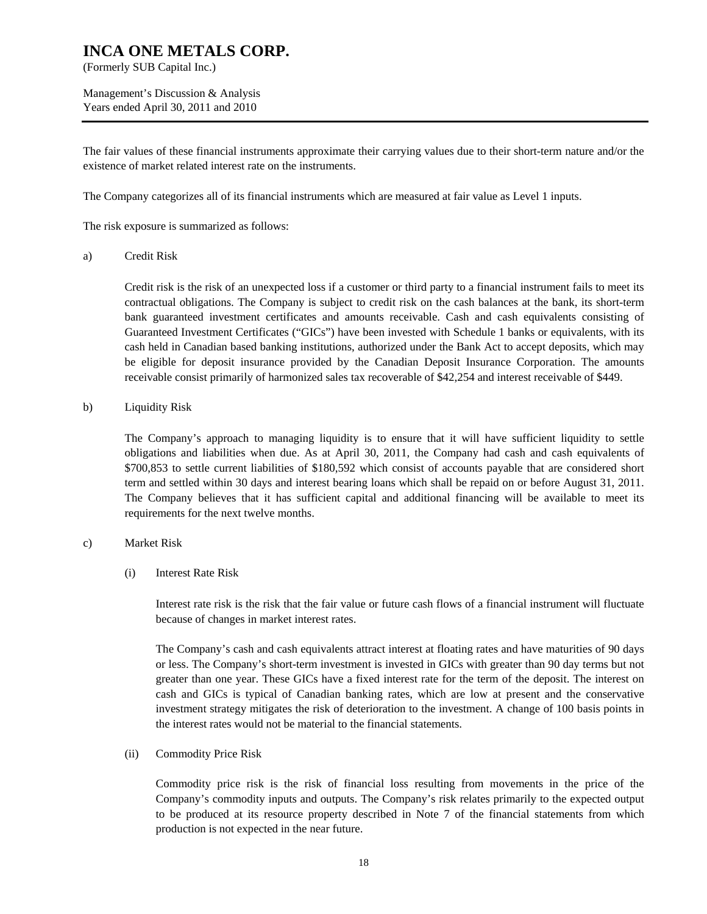(Formerly SUB Capital Inc.)

Management's Discussion & Analysis Years ended April 30, 2011 and 2010

The fair values of these financial instruments approximate their carrying values due to their short-term nature and/or the existence of market related interest rate on the instruments.

The Company categorizes all of its financial instruments which are measured at fair value as Level 1 inputs.

The risk exposure is summarized as follows:

a) Credit Risk

Credit risk is the risk of an unexpected loss if a customer or third party to a financial instrument fails to meet its contractual obligations. The Company is subject to credit risk on the cash balances at the bank, its short-term bank guaranteed investment certificates and amounts receivable. Cash and cash equivalents consisting of Guaranteed Investment Certificates ("GICs") have been invested with Schedule 1 banks or equivalents, with its cash held in Canadian based banking institutions, authorized under the Bank Act to accept deposits, which may be eligible for deposit insurance provided by the Canadian Deposit Insurance Corporation. The amounts receivable consist primarily of harmonized sales tax recoverable of \$42,254 and interest receivable of \$449.

b) Liquidity Risk

The Company's approach to managing liquidity is to ensure that it will have sufficient liquidity to settle obligations and liabilities when due. As at April 30, 2011, the Company had cash and cash equivalents of \$700,853 to settle current liabilities of \$180,592 which consist of accounts payable that are considered short term and settled within 30 days and interest bearing loans which shall be repaid on or before August 31, 2011. The Company believes that it has sufficient capital and additional financing will be available to meet its requirements for the next twelve months.

#### c) Market Risk

(i) Interest Rate Risk

Interest rate risk is the risk that the fair value or future cash flows of a financial instrument will fluctuate because of changes in market interest rates.

The Company's cash and cash equivalents attract interest at floating rates and have maturities of 90 days or less. The Company's short-term investment is invested in GICs with greater than 90 day terms but not greater than one year. These GICs have a fixed interest rate for the term of the deposit. The interest on cash and GICs is typical of Canadian banking rates, which are low at present and the conservative investment strategy mitigates the risk of deterioration to the investment. A change of 100 basis points in the interest rates would not be material to the financial statements.

(ii) Commodity Price Risk

Commodity price risk is the risk of financial loss resulting from movements in the price of the Company's commodity inputs and outputs. The Company's risk relates primarily to the expected output to be produced at its resource property described in Note 7 of the financial statements from which production is not expected in the near future.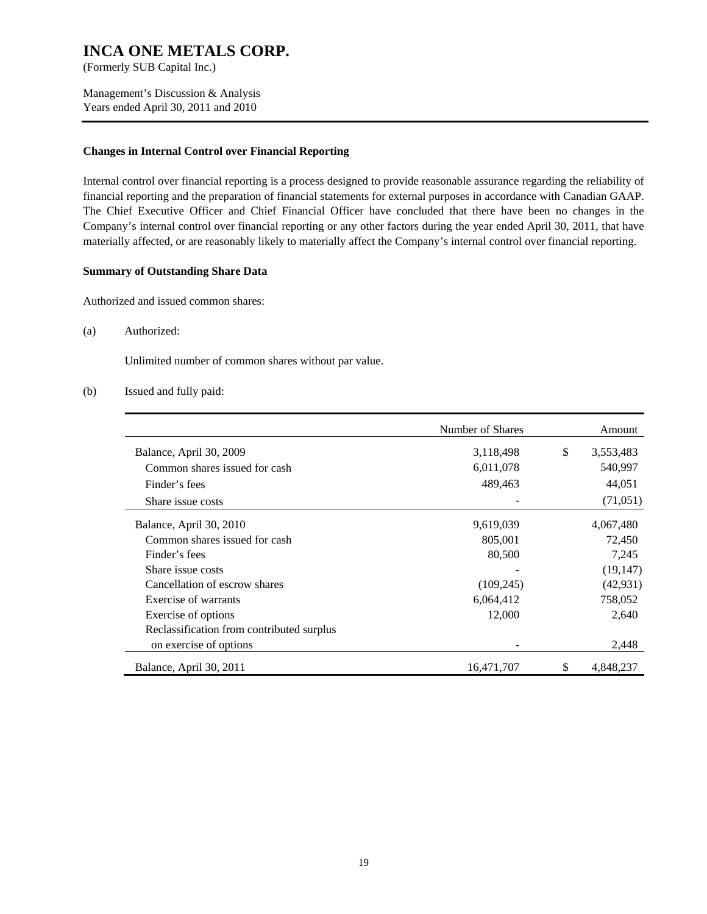(Formerly SUB Capital Inc.)

Management's Discussion & Analysis Years ended April 30, 2011 and 2010

#### **Changes in Internal Control over Financial Reporting**

Internal control over financial reporting is a process designed to provide reasonable assurance regarding the reliability of financial reporting and the preparation of financial statements for external purposes in accordance with Canadian GAAP. The Chief Executive Officer and Chief Financial Officer have concluded that there have been no changes in the Company's internal control over financial reporting or any other factors during the year ended April 30, 2011, that have materially affected, or are reasonably likely to materially affect the Company's internal control over financial reporting.

#### **Summary of Outstanding Share Data**

Authorized and issued common shares:

(a) Authorized:

Unlimited number of common shares without par value.

#### (b) Issued and fully paid:

|                                           | Number of Shares |    | Amount    |
|-------------------------------------------|------------------|----|-----------|
| Balance, April 30, 2009                   | 3,118,498        | \$ | 3,553,483 |
| Common shares issued for cash             | 6,011,078        |    | 540,997   |
| Finder's fees                             | 489,463          |    | 44,051    |
| Share issue costs                         |                  |    | (71, 051) |
| Balance, April 30, 2010                   | 9,619,039        |    | 4,067,480 |
| Common shares issued for cash             | 805,001          |    | 72,450    |
| Finder's fees                             | 80,500           |    | 7,245     |
| Share issue costs                         |                  |    | (19, 147) |
| Cancellation of escrow shares             | (109, 245)       |    | (42, 931) |
| Exercise of warrants                      | 6,064,412        |    | 758,052   |
| Exercise of options                       | 12,000           |    | 2,640     |
| Reclassification from contributed surplus |                  |    |           |
| on exercise of options                    |                  |    | 2,448     |
| Balance, April 30, 2011                   | 16,471,707       | S  | 4,848,237 |